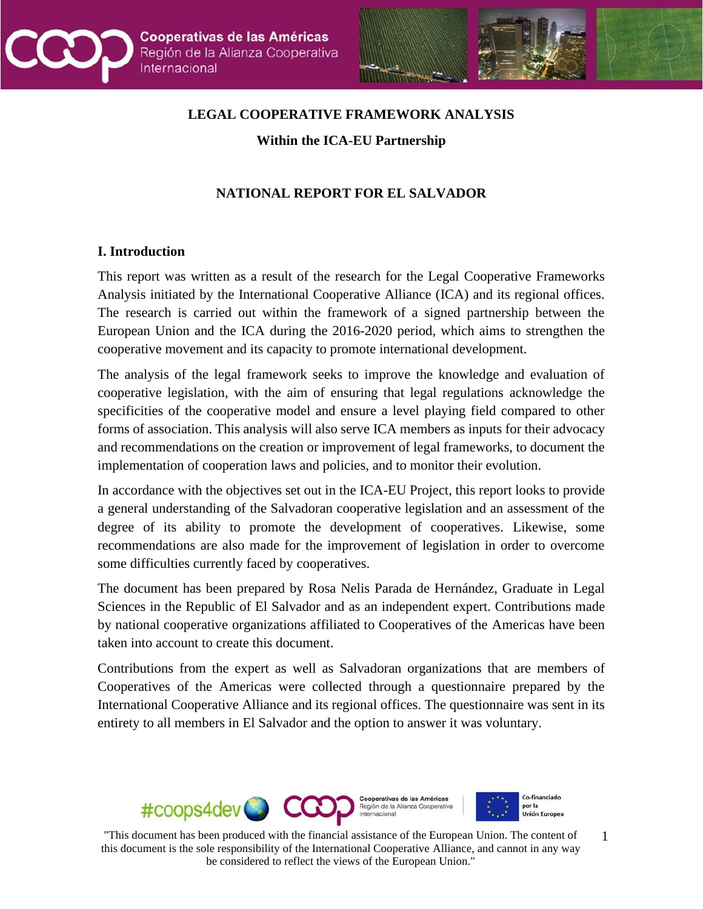



## **LEGAL COOPERATIVE FRAMEWORK ANALYSIS**

**Within the ICA-EU Partnership**

### **NATIONAL REPORT FOR EL SALVADOR**

#### **I. Introduction**

This report was written as a result of the research for the Legal Cooperative Frameworks Analysis initiated by the International Cooperative Alliance (ICA) and its regional offices. The research is carried out within the framework of a signed partnership between the European Union and the ICA during the 2016-2020 period, which aims to strengthen the cooperative movement and its capacity to promote international development.

The analysis of the legal framework seeks to improve the knowledge and evaluation of cooperative legislation, with the aim of ensuring that legal regulations acknowledge the specificities of the cooperative model and ensure a level playing field compared to other forms of association. This analysis will also serve ICA members as inputs for their advocacy and recommendations on the creation or improvement of legal frameworks, to document the implementation of cooperation laws and policies, and to monitor their evolution.

In accordance with the objectives set out in the ICA-EU Project, this report looks to provide a general understanding of the Salvadoran cooperative legislation and an assessment of the degree of its ability to promote the development of cooperatives. Likewise, some recommendations are also made for the improvement of legislation in order to overcome some difficulties currently faced by cooperatives.

The document has been prepared by Rosa Nelis Parada de Hernández, Graduate in Legal Sciences in the Republic of El Salvador and as an independent expert. Contributions made by national cooperative organizations affiliated to Cooperatives of the Americas have been taken into account to create this document.

Contributions from the expert as well as Salvadoran organizations that are members of Cooperatives of the Americas were collected through a questionnaire prepared by the International Cooperative Alliance and its regional offices. The questionnaire was sent in its entirety to all members in El Salvador and the option to answer it was voluntary.

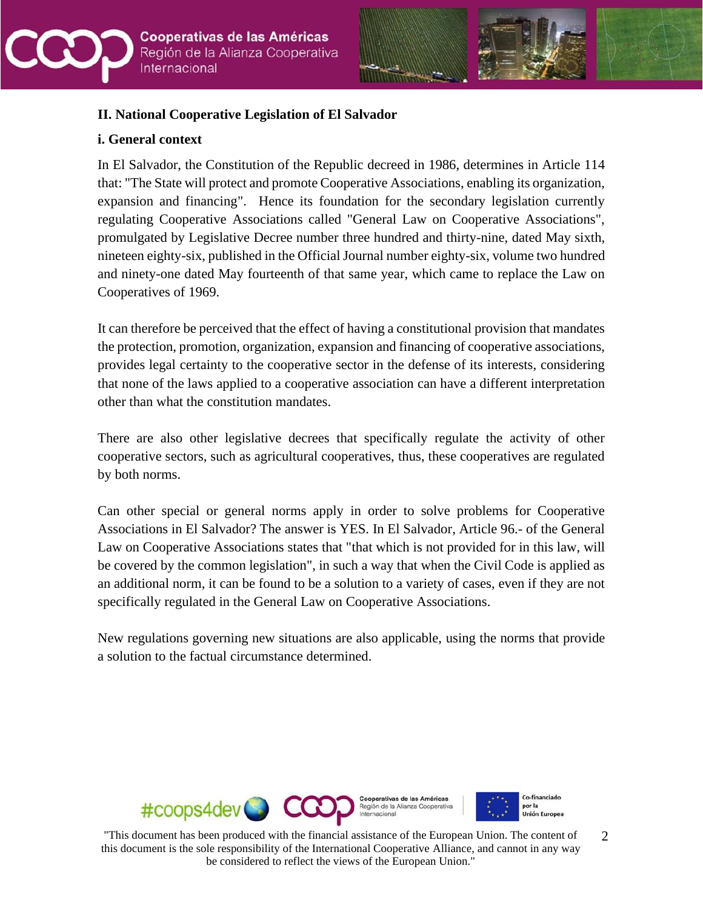



### **II. National Cooperative Legislation of El Salvador**

### **i. General context**

In El Salvador, the Constitution of the Republic decreed in 1986, determines in Article 114 that: "The State will protect and promote Cooperative Associations, enabling its organization, expansion and financing". Hence its foundation for the secondary legislation currently regulating Cooperative Associations called "General Law on Cooperative Associations", promulgated by Legislative Decree number three hundred and thirty-nine, dated May sixth, nineteen eighty-six, published in the Official Journal number eighty-six, volume two hundred and ninety-one dated May fourteenth of that same year, which came to replace the Law on Cooperatives of 1969.

It can therefore be perceived that the effect of having a constitutional provision that mandates the protection, promotion, organization, expansion and financing of cooperative associations, provides legal certainty to the cooperative sector in the defense of its interests, considering that none of the laws applied to a cooperative association can have a different interpretation other than what the constitution mandates.

There are also other legislative decrees that specifically regulate the activity of other cooperative sectors, such as agricultural cooperatives, thus, these cooperatives are regulated by both norms.

Can other special or general norms apply in order to solve problems for Cooperative Associations in El Salvador? The answer is YES. In El Salvador, Article 96.- of the General Law on Cooperative Associations states that "that which is not provided for in this law, will be covered by the common legislation", in such a way that when the Civil Code is applied as an additional norm, it can be found to be a solution to a variety of cases, even if they are not specifically regulated in the General Law on Cooperative Associations.

New regulations governing new situations are also applicable, using the norms that provide a solution to the factual circumstance determined.

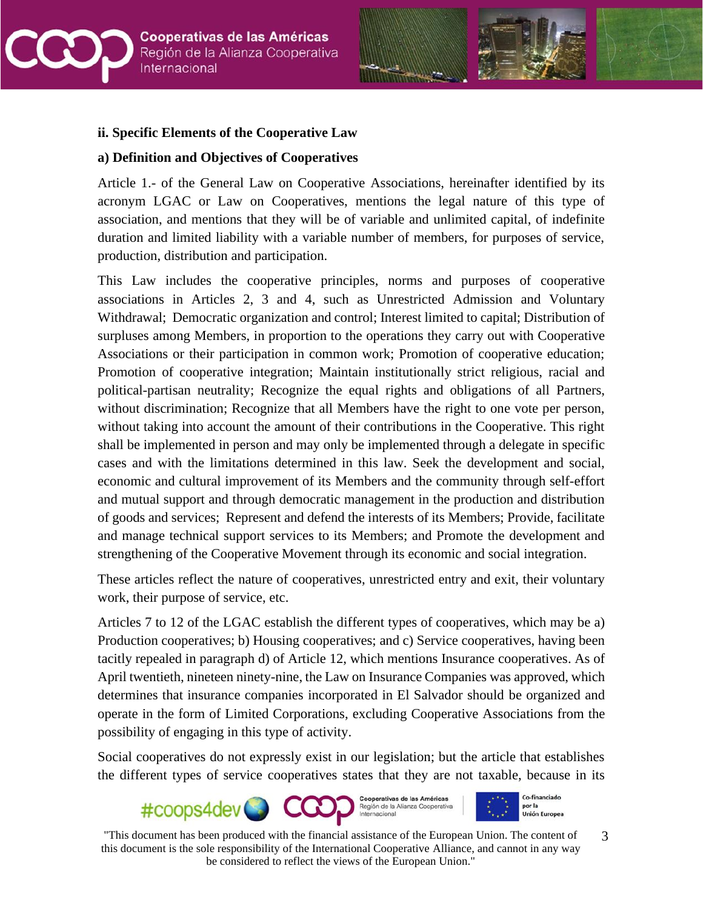



#### **ii. Specific Elements of the Cooperative Law**

#### **a) Definition and Objectives of Cooperatives**

Article 1.- of the General Law on Cooperative Associations, hereinafter identified by its acronym LGAC or Law on Cooperatives, mentions the legal nature of this type of association, and mentions that they will be of variable and unlimited capital, of indefinite duration and limited liability with a variable number of members, for purposes of service, production, distribution and participation.

This Law includes the cooperative principles, norms and purposes of cooperative associations in Articles 2, 3 and 4, such as Unrestricted Admission and Voluntary Withdrawal; Democratic organization and control; Interest limited to capital; Distribution of surpluses among Members, in proportion to the operations they carry out with Cooperative Associations or their participation in common work; Promotion of cooperative education; Promotion of cooperative integration; Maintain institutionally strict religious, racial and political-partisan neutrality; Recognize the equal rights and obligations of all Partners, without discrimination; Recognize that all Members have the right to one vote per person, without taking into account the amount of their contributions in the Cooperative. This right shall be implemented in person and may only be implemented through a delegate in specific cases and with the limitations determined in this law. Seek the development and social, economic and cultural improvement of its Members and the community through self-effort and mutual support and through democratic management in the production and distribution of goods and services; Represent and defend the interests of its Members; Provide, facilitate and manage technical support services to its Members; and Promote the development and strengthening of the Cooperative Movement through its economic and social integration.

These articles reflect the nature of cooperatives, unrestricted entry and exit, their voluntary work, their purpose of service, etc.

Articles 7 to 12 of the LGAC establish the different types of cooperatives, which may be a) Production cooperatives; b) Housing cooperatives; and c) Service cooperatives, having been tacitly repealed in paragraph d) of Article 12, which mentions Insurance cooperatives. As of April twentieth, nineteen ninety-nine, the Law on Insurance Companies was approved, which determines that insurance companies incorporated in El Salvador should be organized and operate in the form of Limited Corporations, excluding Cooperative Associations from the possibility of engaging in this type of activity.

Social cooperatives do not expressly exist in our legislation; but the article that establishes the different types of service cooperatives states that they are not taxable, because in its

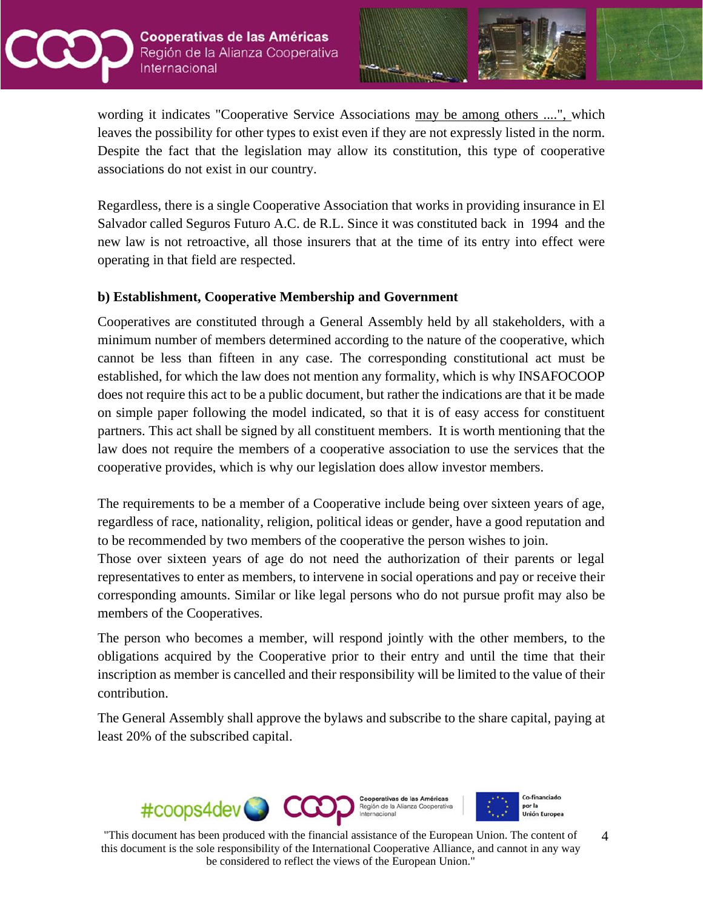



wording it indicates "Cooperative Service Associations may be among others ....", which leaves the possibility for other types to exist even if they are not expressly listed in the norm. Despite the fact that the legislation may allow its constitution, this type of cooperative associations do not exist in our country.

Regardless, there is a single Cooperative Association that works in providing insurance in El Salvador called Seguros Futuro A.C. de R.L. Since it was constituted back in 1994 and the new law is not retroactive, all those insurers that at the time of its entry into effect were operating in that field are respected.

### **b) Establishment, Cooperative Membership and Government**

Cooperatives are constituted through a General Assembly held by all stakeholders, with a minimum number of members determined according to the nature of the cooperative, which cannot be less than fifteen in any case. The corresponding constitutional act must be established, for which the law does not mention any formality, which is why INSAFOCOOP does not require this act to be a public document, but rather the indications are that it be made on simple paper following the model indicated, so that it is of easy access for constituent partners. This act shall be signed by all constituent members. It is worth mentioning that the law does not require the members of a cooperative association to use the services that the cooperative provides, which is why our legislation does allow investor members.

The requirements to be a member of a Cooperative include being over sixteen years of age, regardless of race, nationality, religion, political ideas or gender, have a good reputation and to be recommended by two members of the cooperative the person wishes to join.

Those over sixteen years of age do not need the authorization of their parents or legal representatives to enter as members, to intervene in social operations and pay or receive their corresponding amounts. Similar or like legal persons who do not pursue profit may also be members of the Cooperatives.

The person who becomes a member, will respond jointly with the other members, to the obligations acquired by the Cooperative prior to their entry and until the time that their inscription as member is cancelled and their responsibility will be limited to the value of their contribution.

The General Assembly shall approve the bylaws and subscribe to the share capital, paying at least 20% of the subscribed capital.

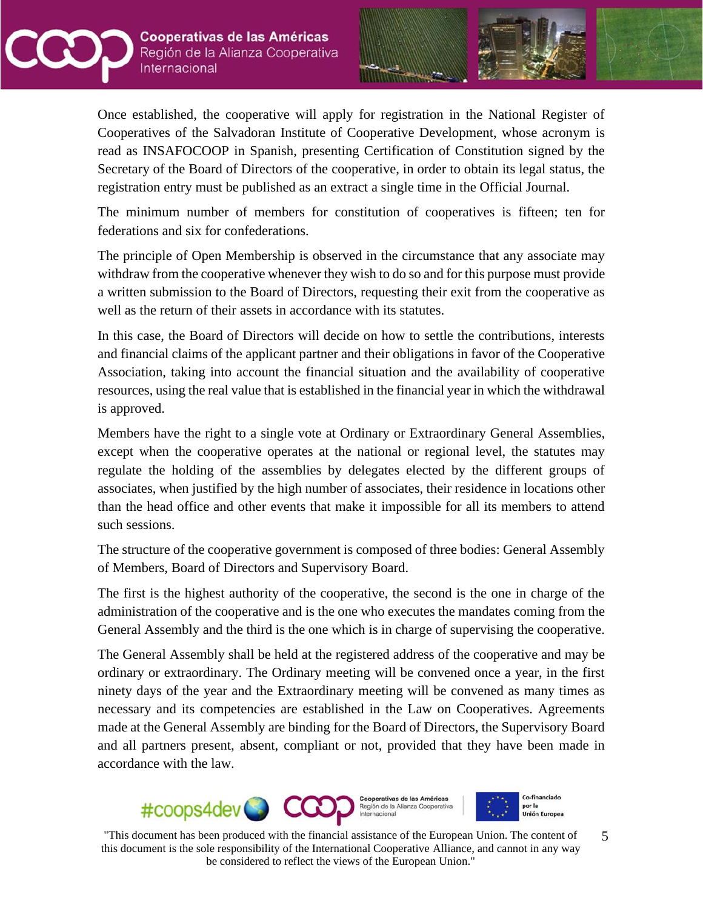



Once established, the cooperative will apply for registration in the National Register of Cooperatives of the Salvadoran Institute of Cooperative Development, whose acronym is read as INSAFOCOOP in Spanish, presenting Certification of Constitution signed by the Secretary of the Board of Directors of the cooperative, in order to obtain its legal status, the registration entry must be published as an extract a single time in the Official Journal.

The minimum number of members for constitution of cooperatives is fifteen; ten for federations and six for confederations.

The principle of Open Membership is observed in the circumstance that any associate may withdraw from the cooperative whenever they wish to do so and for this purpose must provide a written submission to the Board of Directors, requesting their exit from the cooperative as well as the return of their assets in accordance with its statutes.

In this case, the Board of Directors will decide on how to settle the contributions, interests and financial claims of the applicant partner and their obligations in favor of the Cooperative Association, taking into account the financial situation and the availability of cooperative resources, using the real value that is established in the financial year in which the withdrawal is approved.

Members have the right to a single vote at Ordinary or Extraordinary General Assemblies, except when the cooperative operates at the national or regional level, the statutes may regulate the holding of the assemblies by delegates elected by the different groups of associates, when justified by the high number of associates, their residence in locations other than the head office and other events that make it impossible for all its members to attend such sessions.

The structure of the cooperative government is composed of three bodies: General Assembly of Members, Board of Directors and Supervisory Board.

The first is the highest authority of the cooperative, the second is the one in charge of the administration of the cooperative and is the one who executes the mandates coming from the General Assembly and the third is the one which is in charge of supervising the cooperative.

The General Assembly shall be held at the registered address of the cooperative and may be ordinary or extraordinary. The Ordinary meeting will be convened once a year, in the first ninety days of the year and the Extraordinary meeting will be convened as many times as necessary and its competencies are established in the Law on Cooperatives. Agreements made at the General Assembly are binding for the Board of Directors, the Supervisory Board and all partners present, absent, compliant or not, provided that they have been made in accordance with the law.

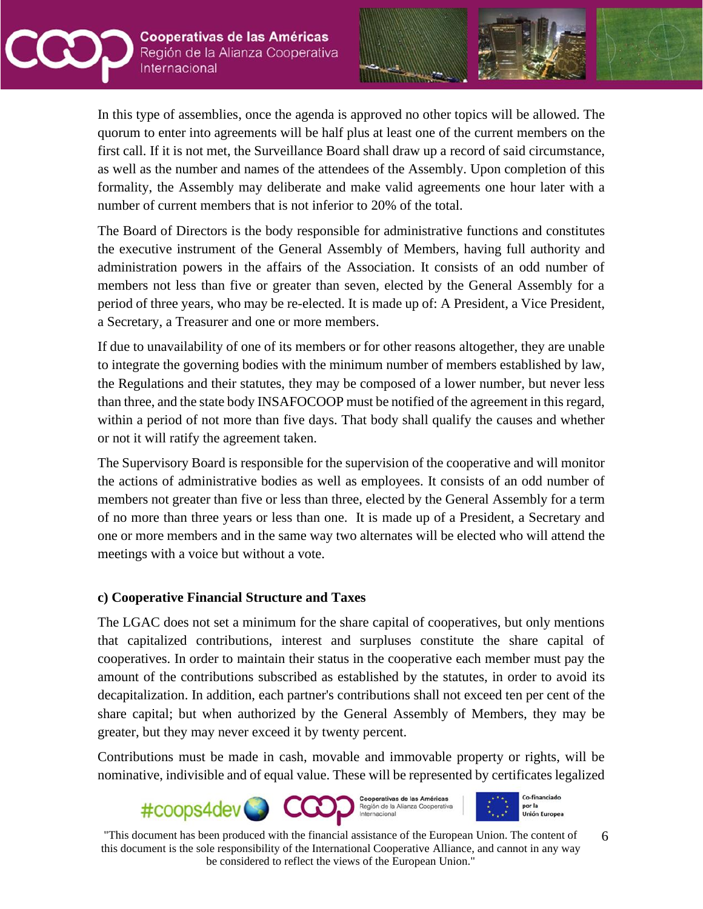



In this type of assemblies, once the agenda is approved no other topics will be allowed. The quorum to enter into agreements will be half plus at least one of the current members on the first call. If it is not met, the Surveillance Board shall draw up a record of said circumstance, as well as the number and names of the attendees of the Assembly. Upon completion of this formality, the Assembly may deliberate and make valid agreements one hour later with a number of current members that is not inferior to 20% of the total.

The Board of Directors is the body responsible for administrative functions and constitutes the executive instrument of the General Assembly of Members, having full authority and administration powers in the affairs of the Association. It consists of an odd number of members not less than five or greater than seven, elected by the General Assembly for a period of three years, who may be re-elected. It is made up of: A President, a Vice President, a Secretary, a Treasurer and one or more members.

If due to unavailability of one of its members or for other reasons altogether, they are unable to integrate the governing bodies with the minimum number of members established by law, the Regulations and their statutes, they may be composed of a lower number, but never less than three, and the state body INSAFOCOOP must be notified of the agreement in this regard, within a period of not more than five days. That body shall qualify the causes and whether or not it will ratify the agreement taken.

The Supervisory Board is responsible for the supervision of the cooperative and will monitor the actions of administrative bodies as well as employees. It consists of an odd number of members not greater than five or less than three, elected by the General Assembly for a term of no more than three years or less than one. It is made up of a President, a Secretary and one or more members and in the same way two alternates will be elected who will attend the meetings with a voice but without a vote.

### **c) Cooperative Financial Structure and Taxes**

The LGAC does not set a minimum for the share capital of cooperatives, but only mentions that capitalized contributions, interest and surpluses constitute the share capital of cooperatives. In order to maintain their status in the cooperative each member must pay the amount of the contributions subscribed as established by the statutes, in order to avoid its decapitalization. In addition, each partner's contributions shall not exceed ten per cent of the share capital; but when authorized by the General Assembly of Members, they may be greater, but they may never exceed it by twenty percent.

Contributions must be made in cash, movable and immovable property or rights, will be nominative, indivisible and of equal value. These will be represented by certificates legalized

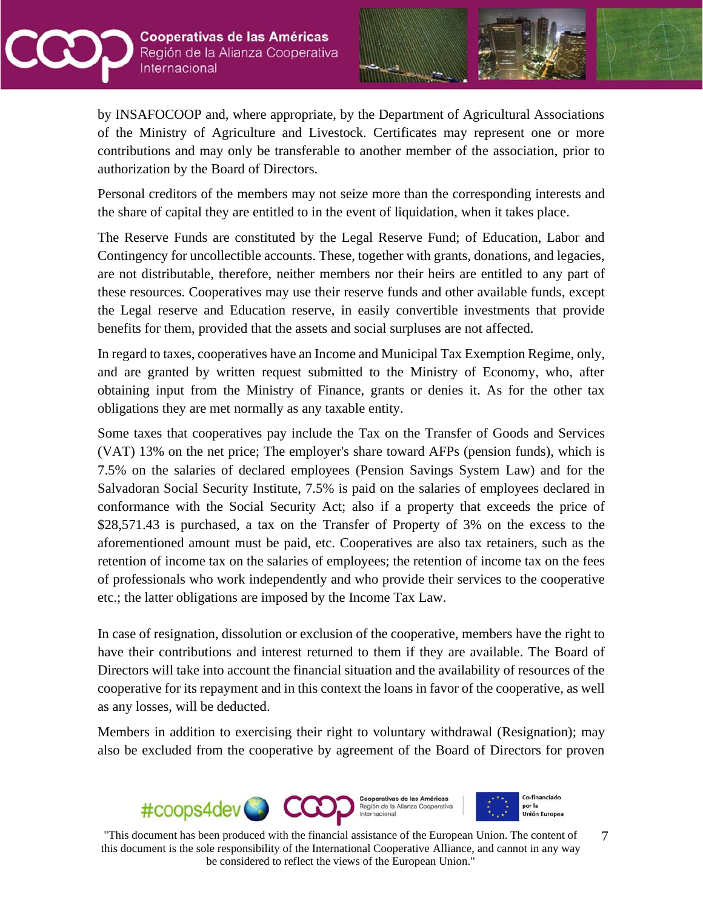



by INSAFOCOOP and, where appropriate, by the Department of Agricultural Associations of the Ministry of Agriculture and Livestock. Certificates may represent one or more contributions and may only be transferable to another member of the association, prior to authorization by the Board of Directors.

Personal creditors of the members may not seize more than the corresponding interests and the share of capital they are entitled to in the event of liquidation, when it takes place.

The Reserve Funds are constituted by the Legal Reserve Fund; of Education, Labor and Contingency for uncollectible accounts. These, together with grants, donations, and legacies, are not distributable, therefore, neither members nor their heirs are entitled to any part of these resources. Cooperatives may use their reserve funds and other available funds, except the Legal reserve and Education reserve, in easily convertible investments that provide benefits for them, provided that the assets and social surpluses are not affected.

In regard to taxes, cooperatives have an Income and Municipal Tax Exemption Regime, only, and are granted by written request submitted to the Ministry of Economy, who, after obtaining input from the Ministry of Finance, grants or denies it. As for the other tax obligations they are met normally as any taxable entity.

Some taxes that cooperatives pay include the Tax on the Transfer of Goods and Services (VAT) 13% on the net price; The employer's share toward AFPs (pension funds), which is 7.5% on the salaries of declared employees (Pension Savings System Law) and for the Salvadoran Social Security Institute, 7.5% is paid on the salaries of employees declared in conformance with the Social Security Act; also if a property that exceeds the price of \$28,571.43 is purchased, a tax on the Transfer of Property of 3% on the excess to the aforementioned amount must be paid, etc. Cooperatives are also tax retainers, such as the retention of income tax on the salaries of employees; the retention of income tax on the fees of professionals who work independently and who provide their services to the cooperative etc.; the latter obligations are imposed by the Income Tax Law.

In case of resignation, dissolution or exclusion of the cooperative, members have the right to have their contributions and interest returned to them if they are available. The Board of Directors will take into account the financial situation and the availability of resources of the cooperative for its repayment and in this context the loans in favor of the cooperative, as well as any losses, will be deducted.

Members in addition to exercising their right to voluntary withdrawal (Resignation); may also be excluded from the cooperative by agreement of the Board of Directors for proven

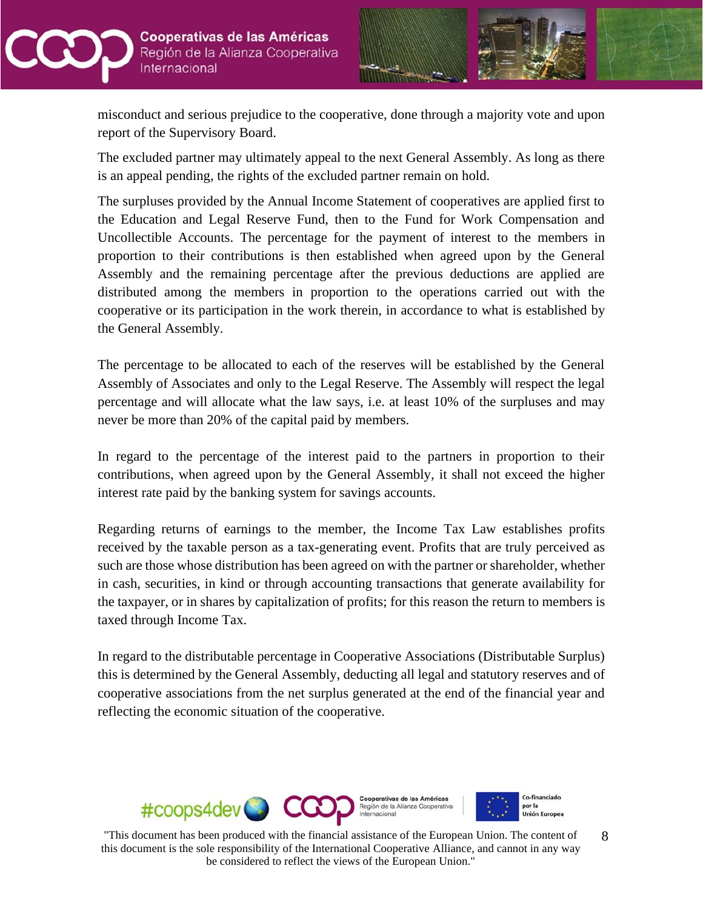



misconduct and serious prejudice to the cooperative, done through a majority vote and upon report of the Supervisory Board.

The excluded partner may ultimately appeal to the next General Assembly. As long as there is an appeal pending, the rights of the excluded partner remain on hold.

The surpluses provided by the Annual Income Statement of cooperatives are applied first to the Education and Legal Reserve Fund, then to the Fund for Work Compensation and Uncollectible Accounts. The percentage for the payment of interest to the members in proportion to their contributions is then established when agreed upon by the General Assembly and the remaining percentage after the previous deductions are applied are distributed among the members in proportion to the operations carried out with the cooperative or its participation in the work therein, in accordance to what is established by the General Assembly.

The percentage to be allocated to each of the reserves will be established by the General Assembly of Associates and only to the Legal Reserve. The Assembly will respect the legal percentage and will allocate what the law says, i.e. at least 10% of the surpluses and may never be more than 20% of the capital paid by members.

In regard to the percentage of the interest paid to the partners in proportion to their contributions, when agreed upon by the General Assembly, it shall not exceed the higher interest rate paid by the banking system for savings accounts.

Regarding returns of earnings to the member, the Income Tax Law establishes profits received by the taxable person as a tax-generating event. Profits that are truly perceived as such are those whose distribution has been agreed on with the partner or shareholder, whether in cash, securities, in kind or through accounting transactions that generate availability for the taxpayer, or in shares by capitalization of profits; for this reason the return to members is taxed through Income Tax.

In regard to the distributable percentage in Cooperative Associations (Distributable Surplus) this is determined by the General Assembly, deducting all legal and statutory reserves and of cooperative associations from the net surplus generated at the end of the financial year and reflecting the economic situation of the cooperative.

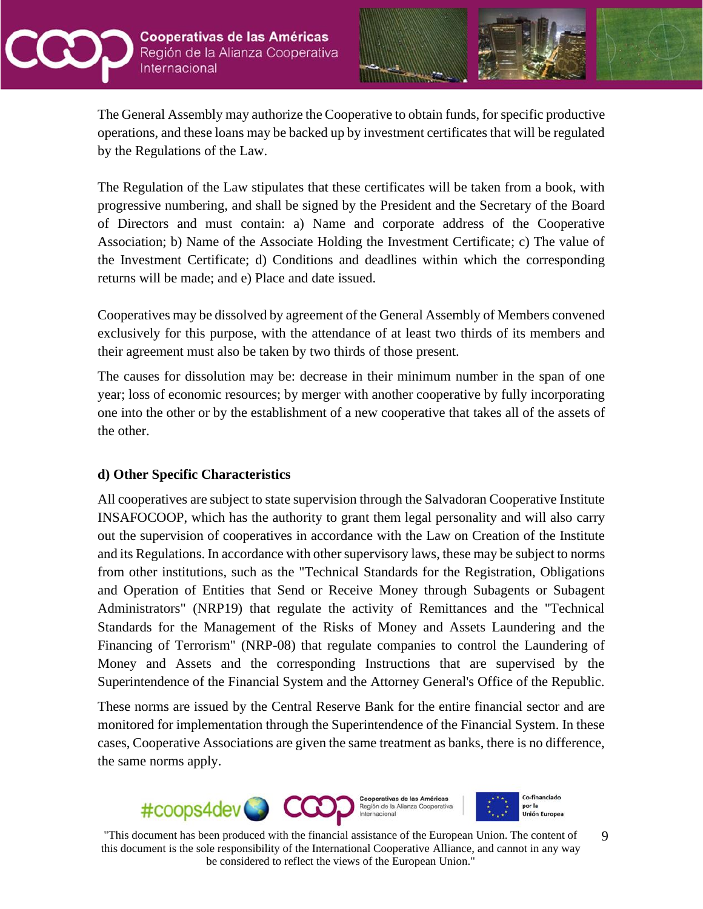



The General Assembly may authorize the Cooperative to obtain funds, for specific productive operations, and these loans may be backed up by investment certificates that will be regulated by the Regulations of the Law.

The Regulation of the Law stipulates that these certificates will be taken from a book, with progressive numbering, and shall be signed by the President and the Secretary of the Board of Directors and must contain: a) Name and corporate address of the Cooperative Association; b) Name of the Associate Holding the Investment Certificate; c) The value of the Investment Certificate; d) Conditions and deadlines within which the corresponding returns will be made; and e) Place and date issued.

Cooperatives may be dissolved by agreement of the General Assembly of Members convened exclusively for this purpose, with the attendance of at least two thirds of its members and their agreement must also be taken by two thirds of those present.

The causes for dissolution may be: decrease in their minimum number in the span of one year; loss of economic resources; by merger with another cooperative by fully incorporating one into the other or by the establishment of a new cooperative that takes all of the assets of the other.

### **d) Other Specific Characteristics**

All cooperatives are subject to state supervision through the Salvadoran Cooperative Institute INSAFOCOOP, which has the authority to grant them legal personality and will also carry out the supervision of cooperatives in accordance with the Law on Creation of the Institute and its Regulations. In accordance with other supervisory laws, these may be subject to norms from other institutions, such as the "Technical Standards for the Registration, Obligations and Operation of Entities that Send or Receive Money through Subagents or Subagent Administrators" (NRP19) that regulate the activity of Remittances and the "Technical Standards for the Management of the Risks of Money and Assets Laundering and the Financing of Terrorism" (NRP-08) that regulate companies to control the Laundering of Money and Assets and the corresponding Instructions that are supervised by the Superintendence of the Financial System and the Attorney General's Office of the Republic.

These norms are issued by the Central Reserve Bank for the entire financial sector and are monitored for implementation through the Superintendence of the Financial System. In these cases, Cooperative Associations are given the same treatment as banks, there is no difference, the same norms apply.

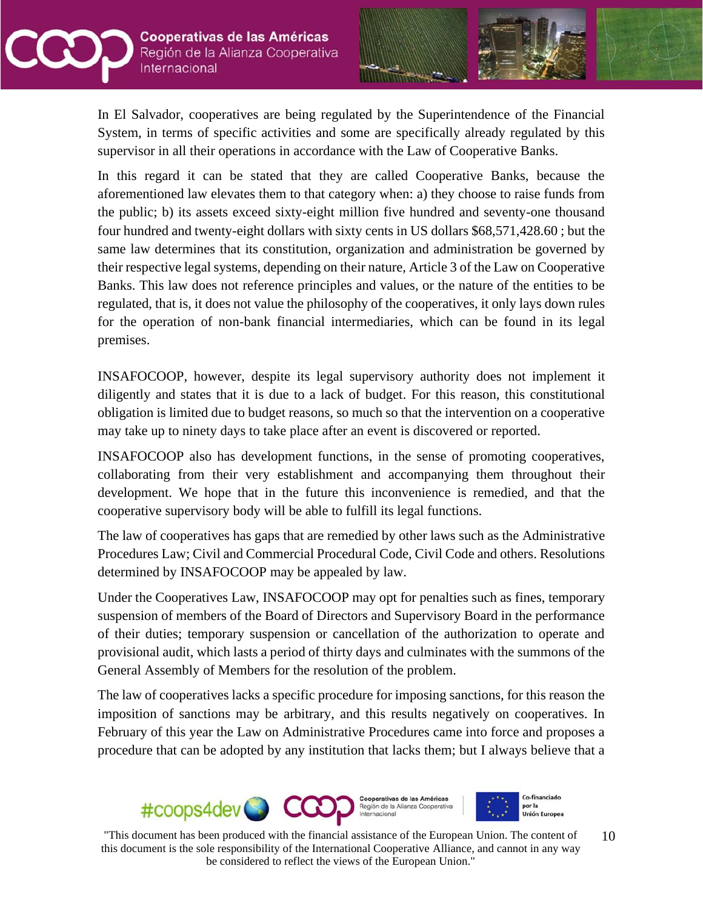



In El Salvador, cooperatives are being regulated by the Superintendence of the Financial System, in terms of specific activities and some are specifically already regulated by this supervisor in all their operations in accordance with the Law of Cooperative Banks.

In this regard it can be stated that they are called Cooperative Banks, because the aforementioned law elevates them to that category when: a) they choose to raise funds from the public; b) its assets exceed sixty-eight million five hundred and seventy-one thousand four hundred and twenty-eight dollars with sixty cents in US dollars \$68,571,428.60 ; but the same law determines that its constitution, organization and administration be governed by their respective legal systems, depending on their nature, Article 3 of the Law on Cooperative Banks. This law does not reference principles and values, or the nature of the entities to be regulated, that is, it does not value the philosophy of the cooperatives, it only lays down rules for the operation of non-bank financial intermediaries, which can be found in its legal premises.

INSAFOCOOP, however, despite its legal supervisory authority does not implement it diligently and states that it is due to a lack of budget. For this reason, this constitutional obligation is limited due to budget reasons, so much so that the intervention on a cooperative may take up to ninety days to take place after an event is discovered or reported.

INSAFOCOOP also has development functions, in the sense of promoting cooperatives, collaborating from their very establishment and accompanying them throughout their development. We hope that in the future this inconvenience is remedied, and that the cooperative supervisory body will be able to fulfill its legal functions.

The law of cooperatives has gaps that are remedied by other laws such as the Administrative Procedures Law; Civil and Commercial Procedural Code, Civil Code and others. Resolutions determined by INSAFOCOOP may be appealed by law.

Under the Cooperatives Law, INSAFOCOOP may opt for penalties such as fines, temporary suspension of members of the Board of Directors and Supervisory Board in the performance of their duties; temporary suspension or cancellation of the authorization to operate and provisional audit, which lasts a period of thirty days and culminates with the summons of the General Assembly of Members for the resolution of the problem.

The law of cooperatives lacks a specific procedure for imposing sanctions, for this reason the imposition of sanctions may be arbitrary, and this results negatively on cooperatives. In February of this year the Law on Administrative Procedures came into force and proposes a procedure that can be adopted by any institution that lacks them; but I always believe that a

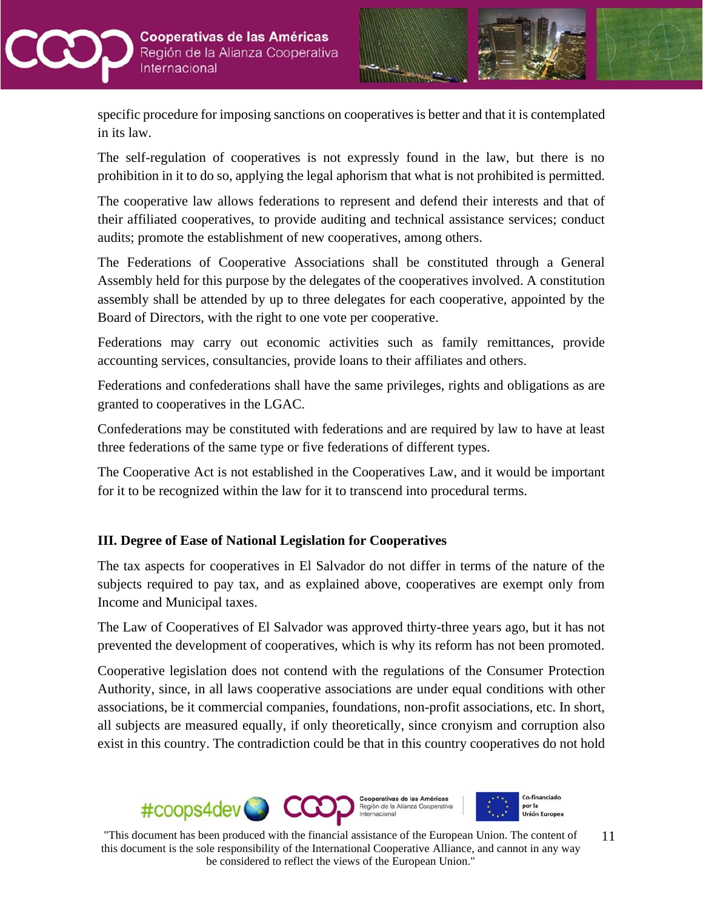



specific procedure for imposing sanctions on cooperatives is better and that it is contemplated in its law.

The self-regulation of cooperatives is not expressly found in the law, but there is no prohibition in it to do so, applying the legal aphorism that what is not prohibited is permitted.

The cooperative law allows federations to represent and defend their interests and that of their affiliated cooperatives, to provide auditing and technical assistance services; conduct audits; promote the establishment of new cooperatives, among others.

The Federations of Cooperative Associations shall be constituted through a General Assembly held for this purpose by the delegates of the cooperatives involved. A constitution assembly shall be attended by up to three delegates for each cooperative, appointed by the Board of Directors, with the right to one vote per cooperative.

Federations may carry out economic activities such as family remittances, provide accounting services, consultancies, provide loans to their affiliates and others.

Federations and confederations shall have the same privileges, rights and obligations as are granted to cooperatives in the LGAC.

Confederations may be constituted with federations and are required by law to have at least three federations of the same type or five federations of different types.

The Cooperative Act is not established in the Cooperatives Law, and it would be important for it to be recognized within the law for it to transcend into procedural terms.

# **III. Degree of Ease of National Legislation for Cooperatives**

The tax aspects for cooperatives in El Salvador do not differ in terms of the nature of the subjects required to pay tax, and as explained above, cooperatives are exempt only from Income and Municipal taxes.

The Law of Cooperatives of El Salvador was approved thirty-three years ago, but it has not prevented the development of cooperatives, which is why its reform has not been promoted.

Cooperative legislation does not contend with the regulations of the Consumer Protection Authority, since, in all laws cooperative associations are under equal conditions with other associations, be it commercial companies, foundations, non-profit associations, etc. In short, all subjects are measured equally, if only theoretically, since cronyism and corruption also exist in this country. The contradiction could be that in this country cooperatives do not hold

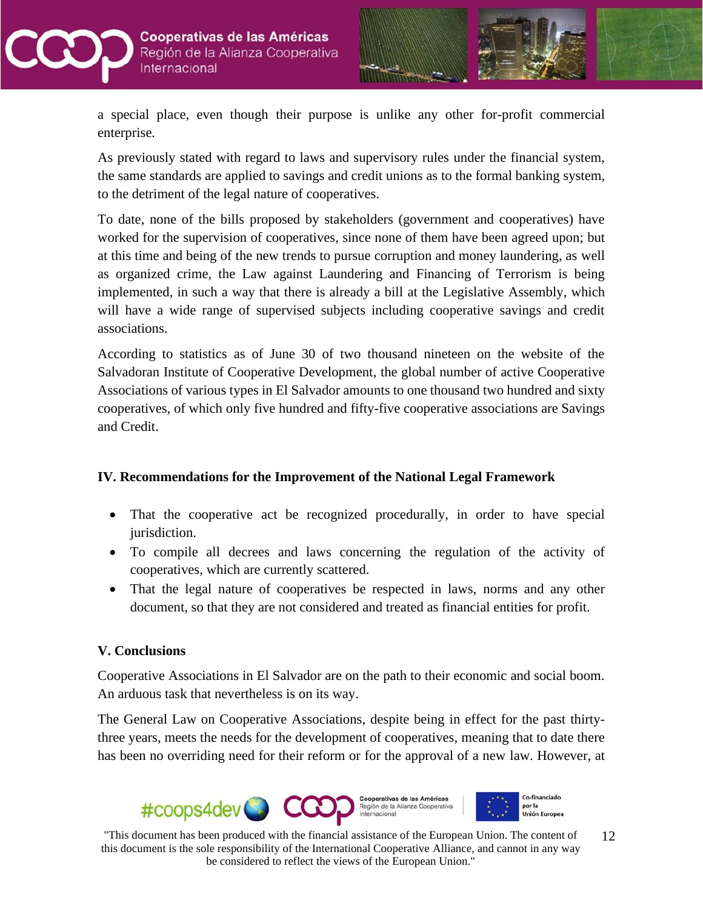



a special place, even though their purpose is unlike any other for-profit commercial enterprise.

As previously stated with regard to laws and supervisory rules under the financial system, the same standards are applied to savings and credit unions as to the formal banking system, to the detriment of the legal nature of cooperatives.

To date, none of the bills proposed by stakeholders (government and cooperatives) have worked for the supervision of cooperatives, since none of them have been agreed upon; but at this time and being of the new trends to pursue corruption and money laundering, as well as organized crime, the Law against Laundering and Financing of Terrorism is being implemented, in such a way that there is already a bill at the Legislative Assembly, which will have a wide range of supervised subjects including cooperative savings and credit associations.

According to statistics as of June 30 of two thousand nineteen on the website of the Salvadoran Institute of Cooperative Development, the global number of active Cooperative Associations of various types in El Salvador amounts to one thousand two hundred and sixty cooperatives, of which only five hundred and fifty-five cooperative associations are Savings and Credit.

### **IV. Recommendations for the Improvement of the National Legal Framework**

- That the cooperative act be recognized procedurally, in order to have special jurisdiction.
- To compile all decrees and laws concerning the regulation of the activity of cooperatives, which are currently scattered.
- That the legal nature of cooperatives be respected in laws, norms and any other document, so that they are not considered and treated as financial entities for profit.

### **V. Conclusions**

Cooperative Associations in El Salvador are on the path to their economic and social boom. An arduous task that nevertheless is on its way.

The General Law on Cooperative Associations, despite being in effect for the past thirtythree years, meets the needs for the development of cooperatives, meaning that to date there has been no overriding need for their reform or for the approval of a new law. However, at